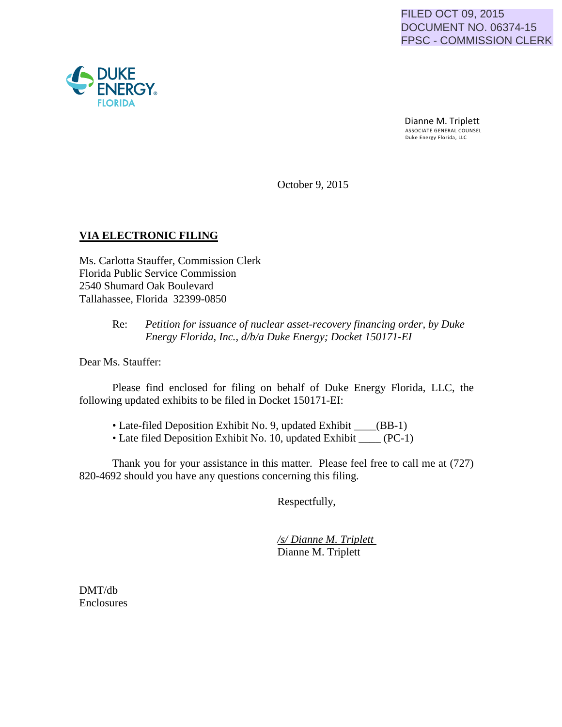Dianne M. Triplett<br>ASSOCIATE GENERAL COUNSEL Duke Energy Florida, LLC

October 9, 2015

### **VIA ELECTRONIC FILING**

Ms. Carlotta Stauffer, Commission Clerk Florida Public Service Commission 2540 Shumard Oak Boulevard Tallahassee, Florida 32399-0850

### Re: *Petition for issuance of nuclear asset-recovery financing order, by Duke Energy Florida, Inc., d/b/a Duke Energy; Docket 150171-EI*

Dear Ms. Stauffer:

Please find enclosed for filing on behalf of Duke Energy Florida, LLC, the following updated exhibits to be filed in Docket 150171-EI:

- Late-filed Deposition Exhibit No. 9, updated Exhibit \_\_\_\_(BB-1)
- Late filed Deposition Exhibit No. 10, updated Exhibit \_\_\_\_ (PC-1)

Thank you for your assistance in this matter. Please feel free to call me at (727) 820-4692 should you have any questions concerning this filing.

Respectfully,

*/s/ Dianne M. Triplett* Dianne M. Triplett

DMT/db Enclosures

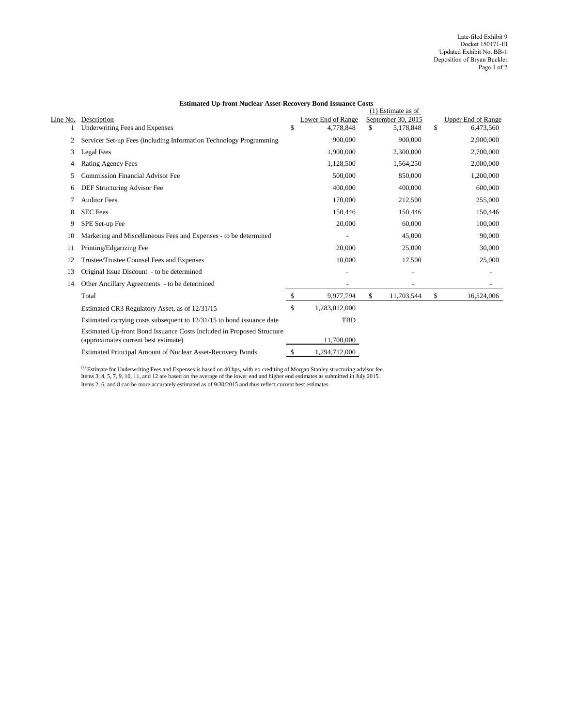|          |                                                                                                               |               |                    |               | $(1)$ Estimate as of |                           |
|----------|---------------------------------------------------------------------------------------------------------------|---------------|--------------------|---------------|----------------------|---------------------------|
| Line No. | Description                                                                                                   |               | Lower End of Range |               | September 30, 2015   | <b>Upper End of Range</b> |
|          | <b>Underwriting Fees and Expenses</b>                                                                         | \$            | 4,778,848          | \$            | 5,178,848            | \$<br>6,473,560           |
| 2        | Servicer Set-up Fees (including Information Technology Programming                                            |               | 900,000            |               | 900,000              | 2,900,000                 |
| 3        | Legal Fees                                                                                                    |               | 1,900,000          |               | 2,300,000            | 2,700,000                 |
| 4        | <b>Rating Agency Fees</b>                                                                                     |               | 1,128,500          |               | 1,564,250            | 2,000,000                 |
| 5        | <b>Commission Financial Advisor Fee</b>                                                                       |               | 500,000            |               | 850,000              | 1,200,000                 |
| 6        | DEF Structuring Advisor Fee                                                                                   |               | 400,000            |               | 400,000              | 600,000                   |
|          | <b>Auditor Fees</b>                                                                                           |               | 170,000            |               | 212,500              | 255,000                   |
| 8        | <b>SEC</b> Fees                                                                                               |               | 150,446            |               | 150,446              | 150,446                   |
| 9        | SPE Set-up Fee                                                                                                |               | 20,000             |               | 60,000               | 100,000                   |
| 10       | Marketing and Miscellaneous Fees and Expenses - to be determined                                              |               |                    |               | 45,000               | 90,000                    |
| 11       | Printing/Edgarizing Fee                                                                                       |               | 20,000             |               | 25,000               | 30,000                    |
| 12       | Trustee/Trustee Counsel Fees and Expenses                                                                     |               | 10,000             |               | 17,500               | 25,000                    |
| 13       | Original Issue Discount - to be determined                                                                    |               |                    |               |                      |                           |
| 14       | Other Ancillary Agreements - to be determined                                                                 |               |                    |               |                      |                           |
|          | Total                                                                                                         | $\mathcal{S}$ | 9,977,794          | $\mathcal{S}$ | 11,703,544           | \$<br>16,524,006          |
|          | Estimated CR3 Regulatory Asset, as of 12/31/15                                                                | \$            | 1,283,012,000      |               |                      |                           |
|          | Estimated carrying costs subsequent to 12/31/15 to bond issuance date                                         |               | <b>TBD</b>         |               |                      |                           |
|          | Estimated Up-front Bond Issuance Costs Included in Proposed Structure<br>(approximates current best estimate) |               | 11,700,000         |               |                      |                           |
|          | <b>Estimated Principal Amount of Nuclear Asset-Recovery Bonds</b>                                             | $\mathcal{S}$ | 1,294,712,000      |               |                      |                           |

 $<sup>(1)</sup>$  Estimate for Underwriting Fees and Expenses is based on 40 bps, with no crediting of Morgan Stanley structuring advisor fee.</sup> Items 3, 4, 5, 7, 9, 10, 11, and 12 are based on the average of the lower end and higher end estimates as submitted in July 2015. Items 2, 6, and 8 can be more accurately estimated as of 9/30/2015 and thus reflect current best estimates.

## **Estimated Up-front Nuclear Asset-Recovery Bond Issuance Costs**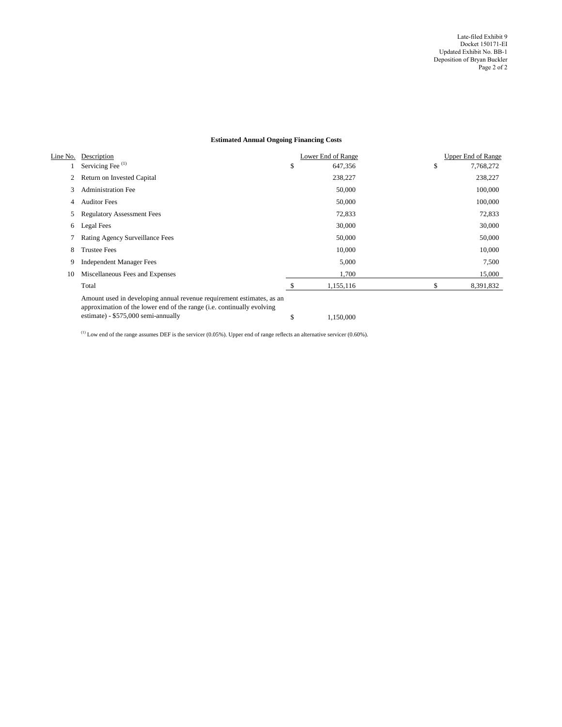| <u>Line No.</u> | Description                                                                                                                                                                             | <b>Lower End of Range</b> | <b>Upper End of Range</b> |
|-----------------|-----------------------------------------------------------------------------------------------------------------------------------------------------------------------------------------|---------------------------|---------------------------|
|                 | Servicing Fee $^{(1)}$                                                                                                                                                                  | \$<br>647,356             | \$<br>7,768,272           |
| 2               | Return on Invested Capital                                                                                                                                                              | 238,227                   | 238,227                   |
| 3               | <b>Administration Fee</b>                                                                                                                                                               | 50,000                    | 100,000                   |
| 4               | <b>Auditor Fees</b>                                                                                                                                                                     | 50,000                    | 100,000                   |
| 5               | <b>Regulatory Assessment Fees</b>                                                                                                                                                       | 72,833                    | 72,833                    |
| 6               | <b>Legal Fees</b>                                                                                                                                                                       | 30,000                    | 30,000                    |
|                 | <b>Rating Agency Surveillance Fees</b>                                                                                                                                                  | 50,000                    | 50,000                    |
| 8               | <b>Trustee Fees</b>                                                                                                                                                                     | 10,000                    | 10,000                    |
| 9               | <b>Independent Manager Fees</b>                                                                                                                                                         | 5,000                     | 7,500                     |
| 10              | Miscellaneous Fees and Expenses                                                                                                                                                         | 1,700                     | 15,000                    |
|                 | Total                                                                                                                                                                                   | 1,155,116                 | \$<br>8,391,832           |
|                 | Amount used in developing annual revenue requirement estimates, as an<br>approximation of the lower end of the range (i.e. continually evolving<br>estimate) - $$575,000$ semi-annually | \$<br>1,150,000           |                           |

 $^{(1)}$  Low end of the range assumes DEF is the servicer (0.05%). Upper end of range reflects an alternative servicer (0.60%).

# **Estimated Annual Ongoing Financing Costs**

Late-filed Exhibit 9 Docket 150171-EI Updated Exhibit No. BB-1 Deposition of Bryan Buckler Page 2 of 2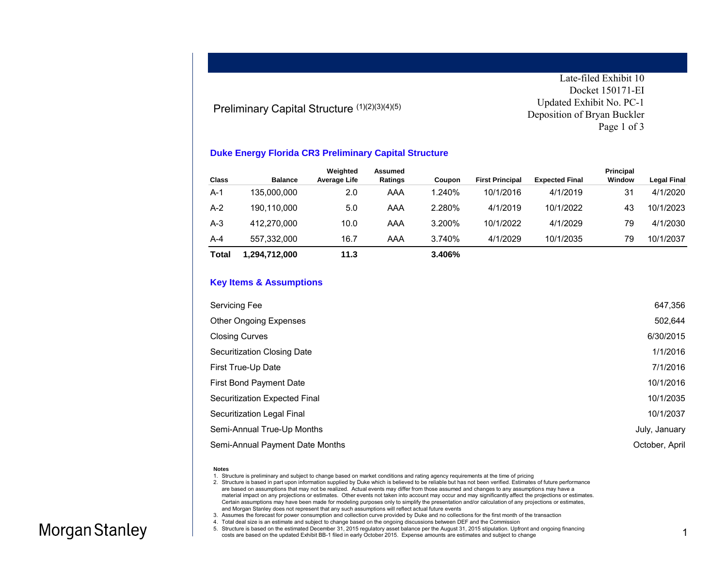#### Preliminary Capital Structure (1)(2)(3)(4)(5)

Late-filed Exhibit 10 Docket 150171-EI Updated Exhibit No. PC-1 Deposition of Bryan Buckler Page 1 of 3

#### **Duke Energy Florida CR3 Preliminary Capital Structure**

|              |                | Weighted     | Assumed |        |                        |                       | Principal |                    |
|--------------|----------------|--------------|---------|--------|------------------------|-----------------------|-----------|--------------------|
| <b>Class</b> | <b>Balance</b> | Average Life | Ratings | Coupon | <b>First Principal</b> | <b>Expected Final</b> | Window    | <b>Legal Final</b> |
| $A-1$        | 135.000.000    | 2.0          | AAA     | 1.240% | 10/1/2016              | 4/1/2019              | 31        | 4/1/2020           |
| $A-2$        | 190.110.000    | 5.0          | AAA     | 2.280% | 4/1/2019               | 10/1/2022             | 43        | 10/1/2023          |
| $A-3$        | 412.270.000    | 10.0         | AAA     | 3.200% | 10/1/2022              | 4/1/2029              | 79        | 4/1/2030           |
| $A-4$        | 557.332.000    | 16.7         | AAA     | 3.740% | 4/1/2029               | 10/1/2035             | 79        | 10/1/2037          |
| <b>Total</b> | 1.294.712.000  | 11.3         |         | 3.406% |                        |                       |           |                    |

#### **Key Items & Assumptions**

| Servicing Fee                   | 647,356        |
|---------------------------------|----------------|
| Other Ongoing Expenses          | 502,644        |
| <b>Closing Curves</b>           | 6/30/2015      |
| Securitization Closing Date     | 1/1/2016       |
| First True-Up Date              | 7/1/2016       |
| First Bond Payment Date         | 10/1/2016      |
| Securitization Expected Final   | 10/1/2035      |
| Securitization Legal Final      | 10/1/2037      |
| Semi-Annual True-Up Months      | July, January  |
| Semi-Annual Payment Date Months | October, April |

#### **Notes**

1. Structure is preliminary and subject to change based on market conditions and rating agency requirements at the time of pricing

2. Structure is based in part upon information supplied by Duke which is believed to be reliable but has not been verified. Estimates of future performance are based on assumptions that may not be realized. Actual events may differ from those assumed and changes to any assumptions may have a material impact on any projections or estimates. Other events not taken into account may occur and may significantly affect the projections or estimates. Certain assumptions may have been made for modeling purposes only to simplify the presentation and/or calculation of any projections or estimates, and Morgan Stanley does not represent that any such assumptions will reflect actual future events

#### 4. Total deal size is an estimate and subject to change based on the ongoing discussions between DEF and the Commission

5. Structure is based on the estimated December 31, 2015 regulatory asset balance per the August 31, 2015 stipulation. Upfront and ongoing financing costs are based on the updated Exhibit BB-1 filed in early October 2015. Expense amounts are estimates and subject to change

<sup>3.</sup> Assumes the forecast for power consumption and collection curve provided by Duke and no collections for the first month of the transaction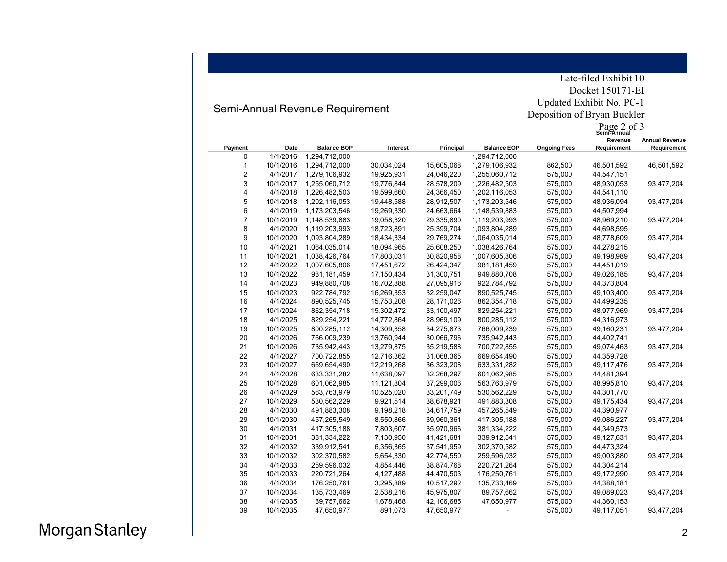# Semi-Annual Revenue Requirement

Late-filed Exhibit 10 Docket 150171-EI Updated Exhibit No. PC-1 Deposition of Bryan Buckler

|                         |           |                    |            |            |                    | Deposition of Bryan Buckler<br>Page 2 of 3<br>Semi-Annual |             |                       |  |
|-------------------------|-----------|--------------------|------------|------------|--------------------|-----------------------------------------------------------|-------------|-----------------------|--|
|                         |           |                    |            |            |                    |                                                           | Revenue     | <b>Annual Revenue</b> |  |
| Payment                 | Date      | <b>Balance BOP</b> | Interest   | Principal  | <b>Balance EOP</b> | <b>Ongoing Fees</b>                                       | Requirement | Requirement           |  |
| 0                       | 1/1/2016  | 1,294,712,000      |            |            | 1,294,712,000      |                                                           |             |                       |  |
| 1                       | 10/1/2016 | 1,294,712,000      | 30,034,024 | 15,605,068 | 1,279,106,932      | 862,500                                                   | 46,501,592  | 46,501,592            |  |
| $\overline{\mathbf{c}}$ | 4/1/2017  | 1,279,106,932      | 19,925,931 | 24,046,220 | 1,255,060,712      | 575,000                                                   | 44,547,151  |                       |  |
| 3                       | 10/1/2017 | 1,255,060,712      | 19,776,844 | 28,578,209 | 1,226,482,503      | 575,000                                                   | 48,930,053  | 93,477,204            |  |
| 4                       | 4/1/2018  | 1,226,482,503      | 19,599,660 | 24,366,450 | 1,202,116,053      | 575,000                                                   | 44,541,110  |                       |  |
| 5                       | 10/1/2018 | 1,202,116,053      | 19,448,588 | 28,912,507 | 1,173,203,546      | 575,000                                                   | 48,936,094  | 93,477,204            |  |
| 6                       | 4/1/2019  | 1,173,203,546      | 19,269,330 | 24,663,664 | 1,148,539,883      | 575,000                                                   | 44,507,994  |                       |  |
| 7                       | 10/1/2019 | 1,148,539,883      | 19,058,320 | 29,335,890 | 1,119,203,993      | 575,000                                                   | 48,969,210  | 93,477,204            |  |
| 8                       | 4/1/2020  | 1,119,203,993      | 18,723,891 | 25,399,704 | 1,093,804,289      | 575,000                                                   | 44,698,595  |                       |  |
| 9                       | 10/1/2020 | 1,093,804,289      | 18,434,334 | 29,769,274 | 1,064,035,014      | 575,000                                                   | 48,778,609  | 93,477,204            |  |
| 10                      | 4/1/2021  | 1,064,035,014      | 18,094,965 | 25,608,250 | 1,038,426,764      | 575,000                                                   | 44,278,215  |                       |  |
| 11                      | 10/1/2021 | 1,038,426,764      | 17,803,031 | 30,820,958 | 1,007,605,806      | 575,000                                                   | 49,198,989  | 93,477,204            |  |
| 12                      | 4/1/2022  | 1,007,605,806      | 17,451,672 | 26,424,347 | 981,181,459        | 575,000                                                   | 44,451,019  |                       |  |
| 13                      | 10/1/2022 | 981, 181, 459      | 17,150,434 | 31,300,751 | 949,880,708        | 575,000                                                   | 49,026,185  | 93,477,204            |  |
| 14                      | 4/1/2023  | 949,880,708        | 16,702,888 | 27,095,916 | 922,784,792        | 575,000                                                   | 44,373,804  |                       |  |
| 15                      | 10/1/2023 | 922,784,792        | 16,269,353 | 32,259,047 | 890,525,745        | 575,000                                                   | 49,103,400  | 93,477,204            |  |
| 16                      | 4/1/2024  | 890,525,745        | 15,753,208 | 28,171,026 | 862,354,718        | 575,000                                                   | 44,499,235  |                       |  |
| 17                      | 10/1/2024 | 862,354,718        | 15,302,472 | 33,100,497 | 829,254,221        | 575,000                                                   | 48,977,969  | 93,477,204            |  |
| 18                      | 4/1/2025  | 829,254,221        | 14,772,864 | 28,969,109 | 800,285,112        | 575,000                                                   | 44,316,973  |                       |  |
| 19                      | 10/1/2025 | 800,285,112        | 14,309,358 | 34,275,873 | 766,009,239        | 575,000                                                   | 49,160,231  | 93,477,204            |  |
| 20                      | 4/1/2026  | 766,009,239        | 13,760,944 | 30,066,796 | 735,942,443        | 575,000                                                   | 44,402,741  |                       |  |
| 21                      | 10/1/2026 | 735,942,443        | 13,279,875 | 35,219,588 | 700,722,855        | 575,000                                                   | 49,074,463  | 93,477,204            |  |
| 22                      | 4/1/2027  | 700,722,855        | 12,716,362 | 31,068,365 | 669,654,490        | 575,000                                                   | 44,359,728  |                       |  |
| 23                      | 10/1/2027 | 669,654,490        | 12,219,268 | 36,323,208 | 633,331,282        | 575,000                                                   | 49,117,476  | 93,477,204            |  |
| 24                      | 4/1/2028  | 633,331,282        | 11,638,097 | 32,268,297 | 601,062,985        | 575,000                                                   | 44,481,394  |                       |  |
| 25                      | 10/1/2028 | 601,062,985        | 11,121,804 | 37,299,006 | 563,763,979        | 575,000                                                   | 48,995,810  | 93,477,204            |  |
| 26                      | 4/1/2029  | 563,763,979        | 10,525,020 | 33,201,749 | 530,562,229        | 575,000                                                   | 44,301,770  |                       |  |
| 27                      | 10/1/2029 | 530,562,229        | 9,921,514  | 38,678,921 | 491,883,308        | 575,000                                                   | 49,175,434  | 93,477,204            |  |
| 28                      | 4/1/2030  | 491,883,308        | 9,198,218  | 34,617,759 | 457,265,549        | 575,000                                                   | 44,390,977  |                       |  |
| 29                      | 10/1/2030 | 457,265,549        | 8,550,866  | 39,960,361 | 417,305,188        | 575,000                                                   | 49,086,227  | 93,477,204            |  |
| 30                      | 4/1/2031  | 417,305,188        | 7,803,607  | 35,970,966 | 381,334,222        | 575,000                                                   | 44,349,573  |                       |  |
| 31                      | 10/1/2031 | 381,334,222        | 7,130,950  | 41,421,681 | 339,912,541        | 575,000                                                   | 49,127,631  | 93,477,204            |  |
| 32                      | 4/1/2032  | 339,912,541        | 6,356,365  | 37,541,959 | 302,370,582        | 575,000                                                   | 44,473,324  |                       |  |
| 33                      | 10/1/2032 | 302,370,582        | 5,654,330  | 42,774,550 | 259,596,032        | 575,000                                                   | 49,003,880  | 93,477,204            |  |
| 34                      | 4/1/2033  | 259,596,032        | 4,854,446  | 38,874,768 | 220,721,264        | 575,000                                                   | 44,304,214  |                       |  |
| 35                      | 10/1/2033 | 220,721,264        | 4,127,488  | 44,470,503 | 176,250,761        | 575,000                                                   | 49,172,990  | 93,477,204            |  |
| 36                      | 4/1/2034  | 176,250,761        | 3,295,889  | 40,517,292 | 135,733,469        | 575,000                                                   | 44,388,181  |                       |  |
| 37                      | 10/1/2034 | 135,733,469        | 2,538,216  | 45,975,807 | 89,757,662         | 575,000                                                   | 49,089,023  | 93,477,204            |  |
| 38                      | 4/1/2035  | 89,757,662         | 1,678,468  | 42,106,685 | 47,650,977         | 575,000                                                   | 44,360,153  |                       |  |
| 39                      | 10/1/2035 | 47,650,977         | 891,073    | 47,650,977 |                    | 575,000                                                   | 49,117,051  | 93,477,204            |  |